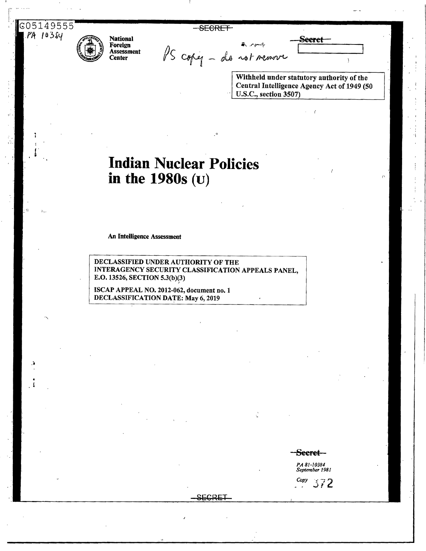C05149555 PA 10384

**SECRET** 



**National** Foreign Assessment Center

PS copy - do not remove

Withheld under statutory authority of the Central Intelligence Agency Act of 1949 (50 U.S.C., section 3507)

Seeret-

# **Indian Nuclear Policies** in the  $1980s$  (U)

An Intelligence Assessment

DECLASSIFIED UNDER AUTHORITY OF THE INTERAGENCY SECURITY CLASSIFICATION APPEALS PANEL, E.O. 13526, SECTION 5.3(b)(3)

ISCAP APPEAL NO. 2012-062, document no. 1 **DECLASSIFICATION DATE: May 6, 2019** 

Seeret-

**PA 81-10384**<br>September 1981  $\frac{Copy}{2}$  372

SECRET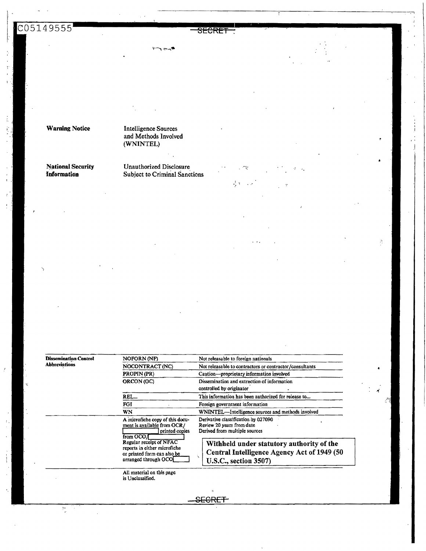S<del>ECRE</del>

Warning Notice Intelligence Sources and Methods Involved (WNINTEL)

#### National Security Unauthorized Disclosure<br> **Information** Subject to Criminal Sanc Subject to Criminal Sanctions

 $\sim$ 

Dissemination Control NOFORN (NF) Not releasable to foreign nationals<br>Abbreviations<br>NOCONTRACT (NC) Not releasable to contractors or con-NOCONTRACT (NC) Not releasable to contractors or contractor /consultants PROPIN (PR) Caution-proprietary information involved ORCON (OC) Dissemination and extraction of information controlled by originator REL... This information has been authorized for release to... FGI Foreign government information WNINTEL--Intelligence sources and methods involved A microfiche copy of this docu-<br>Derivative classification, by 027090 ment is available from OCR/ Review 20 years from date e from OCR/ Review 20 years from date<br>| printed copies Derived from multiple sources from OCO/

Withheld under statutory authority of the Central Intelligence Agency Act of 1949 (50 U.S.C., section 3507)

All material on this page is Unclassified.

Regular receipt of NFAC reports in either microfiche or printed form can also be arranged through OCO

**JEGRET**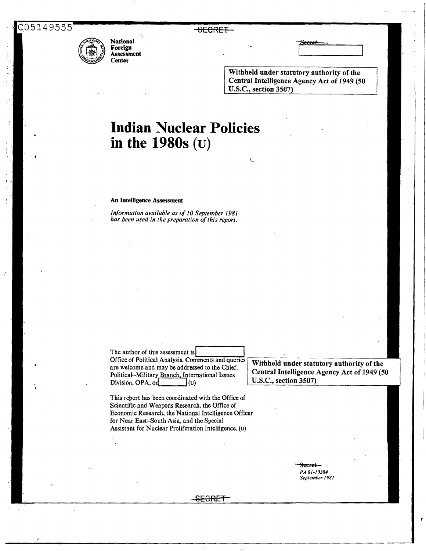*(* 



National Foreign Assessment Center

SECRET

Withheld under statutory authority of the Central Intelligence Agency Act of 1949 (50 U.S.C., section 3507)

 $\epsilon$ 

# **Indian Nuclear Policies in the 1980s** (u)

#### An Intelligence Assessment

*Information available as* of *IO September 1981 has been used in the preparation* of*this report.* 

The author of this assessment isl Office of Political Analysis. Comments and queries are welcome and may be addressed to the Chief, Political-Military Branch. International Issues Division, OPA, on  $(u)$ 

Withheld under statutory authority of the Central Intelligence Agency Act of 1949 (50 U.S.C., section 3507)

This report has been coordinated with the Office of Scientific and Weapons Research, the Office of Economic Research, the National Intelligence Officer for Near East-South Asia, and the Special Assistant for Nuclear Proliferation Intelligence. (u)

> Secret *PA 81-10384 September J981*

-S<del>ECRET</del>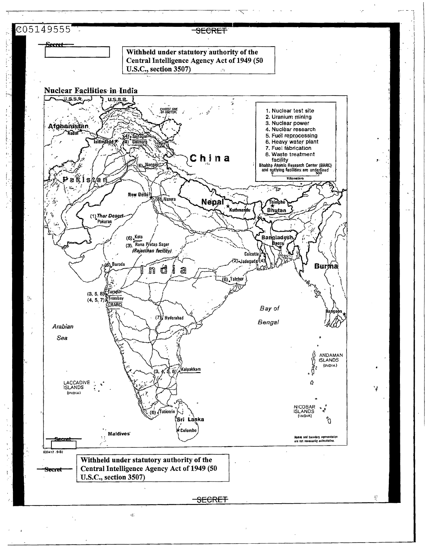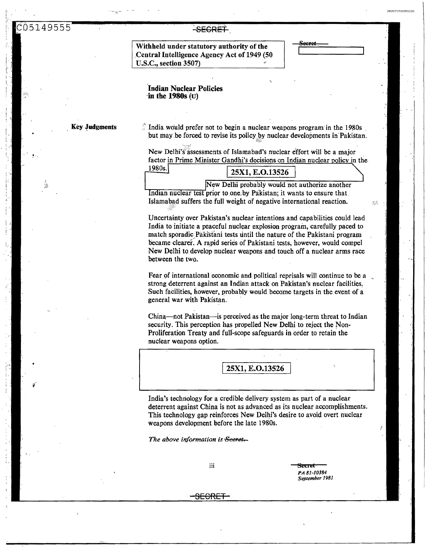<del>-SECRET</del>

Withheld under statutory authority of the Central Intelligence Agency Act of 1949 (50 U.S.C., section 3507)

 $\mathcal{Z}^{\mathcal{Z}}_{\alpha}$ 

**Indian Nuclear Policies** in the 1980s  $(\mathbf{u})$ 

**Key Judgments** 

India would prefer not to begin a nuclear weapons program in the 1980s. but may be forced to revise its policy by nuclear developments in Pakistan.

New Delhi's assessments of Islamabad's nuclear effort will be a major factor in Prime Minister Gandhi's decisions on Indian nuclear policy in the  $1980s$ 

| ,,,,<br>المستنقصات | 25X1, E.O.13526 |  |  |                                                |  |  |
|--------------------|-----------------|--|--|------------------------------------------------|--|--|
|                    |                 |  |  | New Delhi probably would not authorize another |  |  |

Indian nuclear test prior to one by Pakistan; it wants to ensure that Islamabad suffers the full weight of negative international reaction.

Uncertainty over Pakistan's nuclear intentions and capabilities could lead India to initiate a peaceful nuclear explosion program, carefully paced to match sporadic Pakistani tests until the nature of the Pakistani program became clearer. A rapid series of Pakistani tests, however, would compel New Delhi to develop nuclear weapons and touch off a nuclear arms race between the two.

Fear of international economic and political reprisals will continue to be a strong deterrent against an Indian attack on Pakistan's nuclear facilities. Such facilities, however, probably would become targets in the event of a general war with Pakistan.

China—not Pakistan—is perceived as the major long-term threat to Indian security. This perception has propelled New Delhi to reject the Non-Proliferation Treaty and full-scope safeguards in order to retain the nuclear weapons option.

25X1, E.O.13526

India's technology for a credible delivery system as part of a nuclear deterrent against China is not as advanced as its nuclear accomplishments. This technology gap reinforces New Delhi's desire to avoid overt nuclear weapons development before the late 1980s.

The above information is Secret-

iii

स्टल PA 81-10384 September 1981

<del>SECRET</del>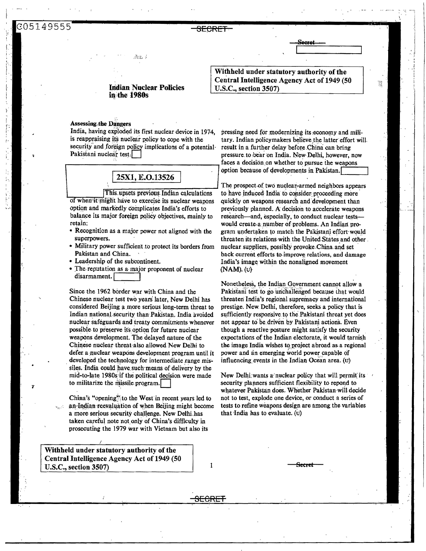#### <del>SECRET</del>

### **Indian Nuclear Policies** in the 1980s

ħà.

#### **Assessing the Dangers**

India, having exploded its first nuclear device in 1974, is reappraising its nuclear policy to cope with the security and foreign policy implications of a potential-Pakistani nuclear test.

#### 25X1, E.O.13526

This upsets previous Indian calculations of when it might have to exercise its nuclear weapons option and markedly complicates India's efforts to balance its major foreign policy objectives, mainly to retain;

- Recognition as a major power not aligned with the superpowers.
- Military power sufficient to protect its borders from Pakistan and China.
- Leadership of the subcontinent.
- The reputation as a major proponent of nuclear disarmament.

Since the 1962 border war with China and the Chinese nuclear test two years later, New Delhi has considered Beijing a more serious long-term threat to Indian national security than Pakistan. India avoided nuclear safeguards and treaty commitments whenever possible to preserve its option for future nuclear weapons development. The delayed nature of the Chinese nuclear threat also allowed New Delhi to defer a nuclear weapons development program until it developed the technology for intermediate range missiles. India could have such means of delivery by the mid-to-late 1980s if the political decision were made to militarize the missile program.

China's "opening" to the West in recent years led to an Indian reevaluation of when Beijing might become a more serious security challenge. New Delhi has taken careful note not only of China's difficulty in prosecuting the 1979 war with Vietnam but also its

Withheld under statutory authority of the Central Intelligence Agency Act of 1949 (50 U.S.C., section 3507)

Withheld under statutory authority of the Central Intelligence Agency Act of 1949 (50 U.S.C., section 3507)

X

pressing need for modernizing its economy and military. Indian policymakers believe the latter effort will. result in a further delay before China can bring pressure to bear on India. New Delhi, however, now faces a decision on whether to pursue the weapons option because of developments in Pakistan.

The prospect of two nuclear-armed neighbors appears to have induced India to consider proceeding more quickly on weapons research and development than previously planned. A decision to accelerate weapons research-and, especially, to conduct nuclear testswould create a number of problems. An Indian program undertaken to match the Pakistani effort would threaten its relations with the United States and other. nuclear suppliers, possibly provoke China and set back current efforts to improve relations, and damage India's image within the nonaligned movement  $(NAM)$ . (U)

Nonetheless, the Indian Government cannot allow a Pakistani test to go unchallenged because that would threaten India's regional supremacy and international prestige. New Delhi, therefore, seeks a policy that is sufficiently responsive to the Pakistani threat yet does not appear to be driven by Pakistani actions. Even though a reactive posture might satisfy the security expectations of the Indian electorate, it would tarnish the image India wishes to project abroad as a regional power and an emerging world power capable of influencing events in the Indian Ocean area. (u)

New Delhi wants a nuclear policy that will permit its security planners sufficient flexibility to repond to whatever Pakistan does. Whether Pakistan will decide not to test, explode one device, or conduct a series of tests to refine weapons design are among the variables that India has to evaluate. (u)

1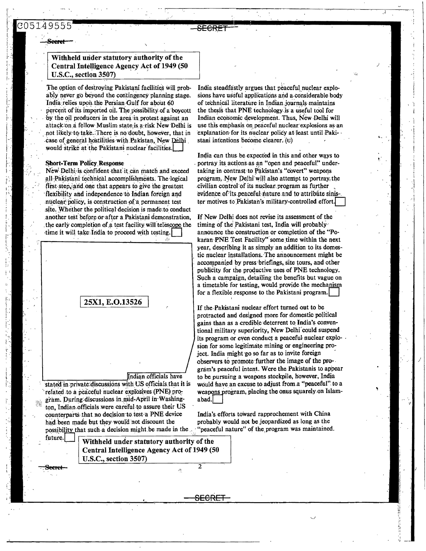# 30514955

### Withheld under statutory authority of the Central Intelligence Agency Act of 1949 (50 U.S.C., section 3507)

The option of destroying Pakistani facilities will probably never go beyond the contingency planning stage. India relies upon the Persian Gulf for about 60 percent of its imported oil. The possibility of a boycott by the oil producers in the area in protest against an attack on a fellow Muslim state is a risk New Delhi is not likely to take. There is no doubt, however, that in case of general hostilities with Pakistan, New Delhi would strike at the Pakistani nuclear facilities.

#### **Short-Term Policy Response**

New Delhi is confident that it can match and exceed all Pakistani technical accomplishments. The logical first step, and one that appears to give the greatest flexibility and independence to Indian foreign and nuclear policy, is construction of a permanent test site. Whether the political decision is made to conduct another test before or after a Pakistani demonstration. the early completion of a test facility will telescope the time it will take India to proceed with testing.



India steadfastly argues that peaceful nuclear explosions have useful applications and a considerable body of technical literature in Indian journals maintains the thesis that PNE technology is a useful tool for Indian economic development. Thus, New Delhi will use this emphasis on peaceful nuclear explosions as an explanation for its nuclear policy at least until Pakistani intentions become clearer.  $(v)$ 

India can thus be expected in this and other ways to portray its actions as an "open and peaceful" undertaking in contrast to Pakistan's "covert" weapons program. New Delhi will also attempt to portray the civilian control of its nuclear program as further evidence of its peaceful nature and to attribute sinister motives to Pakistan's military-controlled effort

If New Delhi does not revise its assessment of the timing of the Pakistani test, India will probably announce the construction or completion of the "Pokaran PNE Test Facility" some time within the next year, describing it as simply an addition to its domestic nuclear installations. The announcement might be accompanied by press briefings, site tours, and other publicity for the productive uses of PNE technology. Such a campaign, detailing the benefits but vague on a timetable for testing, would provide the mechanism for a flexible response to the Pakistani program.

If the Pakistani nuclear effort turned out to be protracted and designed more for domestic political gains than as a credible deterrent to India's conventional military superiority, New Delhi could suspend its program or even conduct a peaceful nuclear explosion for some legitimate mining or engineering project. India might go so far as to invite foreign observers to promote further the image of the program's peaceful intent. Were the Pakistanis to appear to be pursuing a weapons stockpile, however, India would have an excuse to adjust from a "peaceful" to a weapons program, placing the onus squarely on Islamabad.

India's efforts toward rapprochement with China probably would not be jeopardized as long as the "peaceful nature" of the program was maintained.

2

<del>SECRET</del>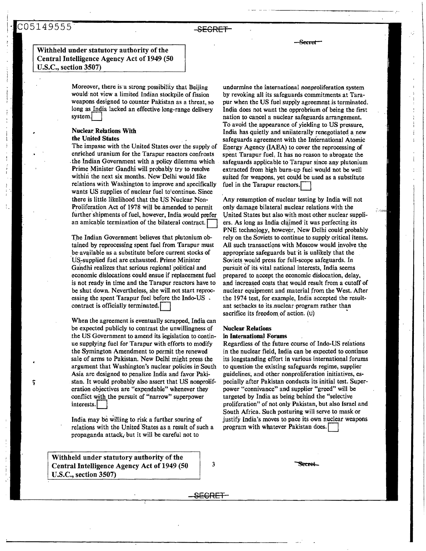## · C05149555 SECRET

Bccaet

#### Withheld under statutory authority of the Central Intelligence Agency Act of 1949 (50 U.S.C., section 3507)

Moreover, there is·a strong possibility that Beijing would not view a limited Indian stockpile of fission weapons designed to counter Pakistan as a threat, so long as India lacked an effective long-range delivery system.

# Nuclear. Relations With

the United States

The impasse with the United States over the supply of enriched uranium for the Tarapur reactors confronts the Indian Government with a policy dilemma which Prime Minister Gandhi will probably try to resolve within the next six months. New Delhi would like relations with Washington to improve and specifically wants US supplies of nuclear fuel to<sup>\*</sup>continue. Since there is little likelihood that the US Nuclear Non-Proliferation Act of 1978 will be amended to permit further shipments of fuel, however, India would prefer an amicable termination of the bilateral contract.

The Indian Government believes that plutonium obtained by reprocessing spent fuel from Tarapur must be available as a substitute before current stocks of US-supplied fuel are exhausted. Prime Minister Gandhi realizes that serious regional political and economic dislocations could ensue if replacement fuel is not ready in time and the Tarapur reactors have to be shut down. Nevertheless, she will.not start reprocessing the spent Tarapur fuel before the Indo-US contract is officially terminated.

When the agreement is eventually scrapped, India can be expected publicly to contrast the unwillingness of the US Government to amend its legislation to continue supplying fuel for Tarapur with efforts to modify the Symington Amendment to permit the renewed sale of arms to Pakistan. New Delhi might press the argument that Washington's nuclear policies in South Asia are designed to penalize India and favor Pakistan. It would probably also assert that US nonproliferation objectives are "expendable" whenever they conflict with the pursuit of "narrow" superpower interests.

India may be willing to risk a further souring of relations with the United States as a result of such a propaganda attack, but it will be careful not to

Withheld under statutory authority of the Central Intelligence Agency Act of 1949 (50  $\vert$  3 U.S.C., section 3507)

undermine the international nonproliferation system by revoking all its safeguards commitments at Tarapur when the US fuel supply agreement is terminated. India does not want the opprobrium of being the first nation to cancel a nuclear safeguards arrangement. To avoid the. appearance of yielding to US pressure, India has quietly and unilaterally renegotiated a new safeguards agreement with the International Atomic Energy Agency (IAEA) to cover the reprocessing of spent Tarapur fuel, It has no reason to abrogate the safeguards applicable to Tarapur since any plutonium extracted from high burn-up fuel would not be well suited for weapons, yet could be used as a substitute fuel in the Tarapur reactors.

Any resumption of nuclear testing by India will not only damage bilateral nuclear relations.with the United States but also with most other nuclear suppliers. As long as India claimed it was perfecting its PNE technology, however, New Delhi could probably rely on the Soviets to continue to supply critical items. All such transactions with Moscow would involve the appropriate safeguards but it is unlikely that the Soviets would press for full-scope safeguards. In pursuit of its vital national interests, India seems prepared to accept the economic dislocation, delay, and increased costs that would result from a cutoff of nuclear equipment and material from the West. After the 1974 test, for example, India accepted the resultant setbacks to its,nuclear ·program rather than sacrifice its freedom of action. (u)

.<br>Potom

#### Nuclear Relations in International Forums

Regardless of the future course of lndo-US refations in the nuclear field, India can be expected to continue its longstanding effort in various international forums to question the existing safeguards regime, supplier guidelines; and other nonproliferation initiatives. especially after Pakistan conducts its initial test. Superpower "connivance" and supplier "greed" will be targeted by India as being behind the "selective proliferation" of not only Pakistan, but also Israel and South Africa. Such posturing will serve to mask or justify India's moves to pace its own nuclear weapons program with whatever Pakistan does.

**SPreet** 

S<del>ECRET -</del>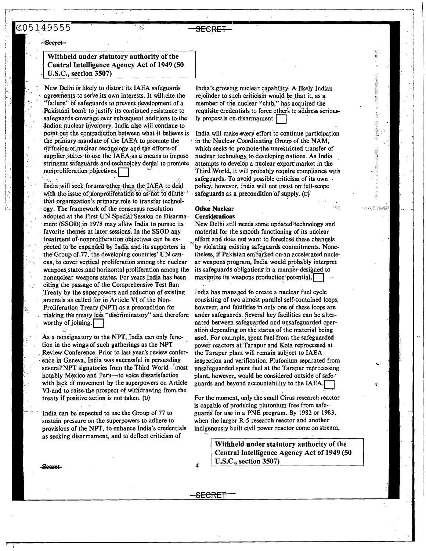鍌

<del>SECRET</del>

#### Seeret

#### Withheld under statutory authority of the Central Intelligence Agency Act of 1949 (50 U.S.C., section 3507)

New Delhi is likely to distort its IAEA safeguards agreements to serve its own interests. It will cite the "failure" of safeguards to prevent development of a Pakistani bomb to justify its continued resistance to safeguards coverage over subsequent additions to the Indian nuclear inventory. India also will continue to point out the contradiction between what it believes is the primary mandate of the IAEA to promote the diffusion of nuclear technology and the efforts of supplier states to use the IAEA as a means to impose stringent safeguards and technology denial to promote nonproliferation objectives.

India will seek forums other than the IAEA to deal with the issue of nonproliferation so as not to dilute that organization's primary role to transfer technology. The framework of the consensus resolution adopted at the First UN Special Session on Disarmament (SSOD); in 1978 may allow India to pursue its favorite themes at later sessions. In the SSOD any treatment of nonproliferation objectives can be expected to be expanded by India and its supporters in the Group of 77, the developing countries' UN caucus, to cover vertical proliferation among the nuclear weapons states and horizontal proliferation among the nonnuclear weapons states. For years India has been citing the passage of the Comprehensive Test Ban Treaty by the superpowers and reduction of existing arsenals as called for in Article VI of the Non-Proliferation Treaty (NPT) as a precondition for making the treaty less "discriminatory" and therefore worthy of joining.

As a nonsignatory to the NPT, India can only function in the wings of such gatherings as the NPT Review Conference, Prior to last year's review conference in Geneva, India was successful in persuading several NPT signatories from the Third World—most notably Mexico and Peru-to voice dissatisfaction with lack of movement by the superpowers on Article VI and to raise the prospect of withdrawing from the treaty if positive action is not taken. (U)

India can be expected to use the Group of 77 to sustain pressure on the superpowers to adhere to provisions of the NPT, to enhance India's credentials as seeking disarmament, and to deflect criticism of

India's growing nuclear capability. A likely Indian rejoinder to such criticism would be that it, as a member of the nuclear "club," has acquired the requisite credentials to force others to address seriously proposals on disarmament.

India will make every effort to continue participation in the Nuclear Coordinating Group of the NAM, which seeks to promote the unrestricted transfer of nuclear technology to developing nations. As India attempts to develop a nuclear export market in the Third World, it will probably require compliance with safeguards. To avoid possible criticism of its own policy, however, India will not insist on full-scope safeguards as a precondition of supply.  $(u)$ 

#### **Other Nuclear Considerations**

New Delhi still needs some updated technology and material for the smooth functioning of its nuclear effort and does not want to foreclose these channels by violating existing safeguards commitments. Nonetheless, if Pakistan embarked on an accelerated nuclear weapons program, India would probably interpret its safeguards obligations in a manner designed to maximize its weapons production potential.

88 AP

India has managed to create a nuclear fuel cycle consisting of two almost parallel self-contained loops, however, and facilities in only one of these loops are under safeguards. Several key facilities can be alternated between safeguarded and unsafeguarded operation depending on the status of the material being used. For example, spent fuel from the safeguarded power reactors at Tarapur and Kota reprocessed at the Tarapur plant will remain subject to IAEA inspection and verification: Plutonium separated from unsafeguarded spent fuel at the Tarapur reprocessing plant, however, would be considered outside of safeguards and beyond accountability to the IAEA.

For the moment, only the small Cirus research reactor is capable of producing plutonium free from safeguards for use in a PNE program. By 1982 or 1983, when the larger R-5 research reactor and another indigenously built civil power reactor come on stream,

> Withheld under statutory authority of the Central Intelligence Agency Act of 1949 (50 U.S.C., section 3507)

4

<del>SECRE</del>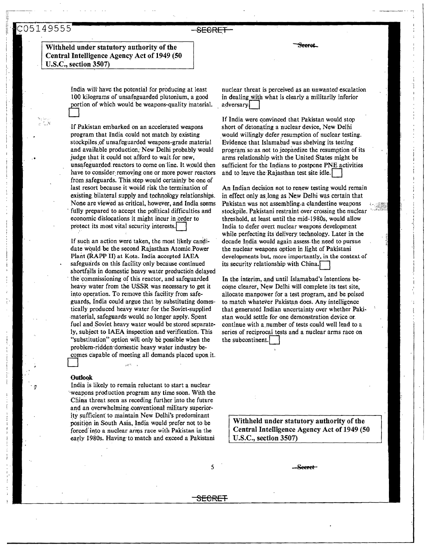'.

Withheld under statutory authority of the Central Intelligence Agency Act of 1949 (50 U.S.C., section 3507)

> India will' have the potential for producing at least 100 kilograms of unsafeguarded plutonium, a good portion of which would be weapons-quality material. , D

SECRET

If-Pakistan embarked on an accelerated weapons program that India could not match by existing stockpiles,of unsafeguarded weapons-grade material and available production; New Delhi probably would judge that it could not afford to wait for new, unsafeguarded: reactors to come on line. It would then have to consider removing one or more power reactors from safeguards. This. step would certainly be one of last resort because it would risk the· termination of existing bilateral supply and technology relationships. None are viewed as critical, however, and India seems fully prepared· to accept the political difficulties and economic dislocations it might incur in .order to protect its most vital security interests.

If such an action were taken, the most likely candidate wquld be the second Rajasthan Atomic.Power Plant (RAPP II) at Kota. India accepted IAEA safeguards on this facility only because continued shortfalls in domestic heavy water production delayed the commissioning of this reactor, and safeguarded heavy water from the USSR was necessary to get it into operation. To remove this facility from safeguards, India could argue that by substituting domestically produced heavy water for the Soviet-supplied -material, safeguards would no longer apply. Spent fuel and Soviet heavy water would be stored separately, subject to IAEA inspection and·verification. This "substitution'' option will only be possible when the problem-ridden domestic heavy water industry becomes capable of meeting all demands placed upon it.

#### **Outlook**

·

India is likely to remain reluctant to start a nuclear "weapons production program any time soon. With the China threat seen as receding further into the future and an overwhelming .conventional military superiority sufficient' to maintain New Delhi's predominant position in South Asia, India would prefer not to be forced into a nuclear arms race with Pakistan in the early 1980s. Having to match and exceed a Pakistani

<del>Seerat</del>

nuclear threat is perceived as an unwanted·escalation in dealing with what is clearly a militarily inferior adversary

If India were convinced that Pakistan would stop short of detonating a nuclear device, New Delhi would willingly defer resumption of nuclear testing. Evidence that Islamabad was shelving its testing program so as not to jeopardize the resumption of its arms relationship with the United States might be sufficient for the Indians to postpone PNE activities and to leave the Rajasthan test site idle.

An Indian decision not to renew testing would remain in effect only as.Jong as New Delhi was certain that Pakistan was not assembling.a clandestine weapons stockpile. Pakistani restraint over crossing the nuclear threshold, at least until the mid-1980s, would allow India to defer overt nuclear weapons development while perfecting its delivery technology. Later in the decade India would again assess. the need to pursue the nuclear weapons option in light of Pakistani developments but, more importantly, in the context of its security relationship with China.

i , *i*  '1 l ,J  $\vert$ 

In the interim, and until Islamabad's intentions become clearer, New Delhi will complete its test site, allocate manpower for a test program, and be poised to match whatever Pakistan does. Any intelligence that generated Indian uncertainty over whether Paki stan would settle for one demonstration device or. continue with a.number of tests could well lead to a series of reciprocal tests and a nuclear arms race on the subcontinent.

Withheld under statutory authority of the Central Intelligence Agency Act of 1949 (50 U.S.C., section 3507)

5 Seeret

SECRET